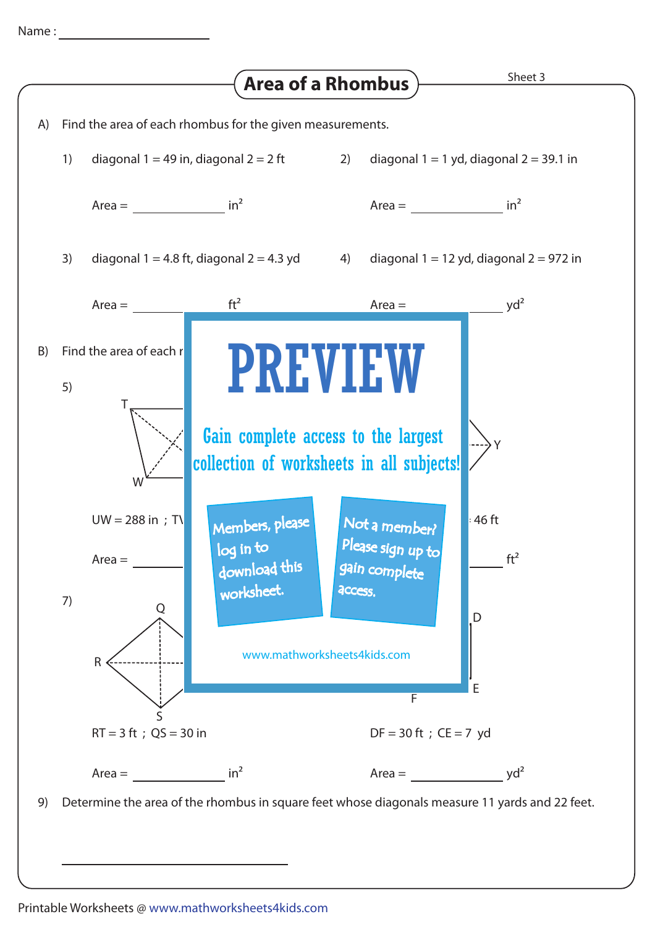